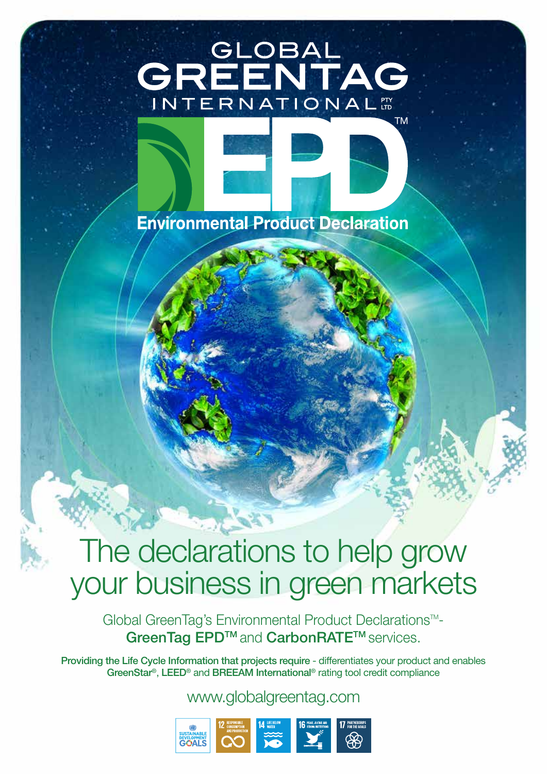# GREENTAG INTERNATIONAL



# The declarations to help grow your business in green markets

Global GreenTag's Environmental Product Declarations<sup>™-</sup> GreenTag EPD<sup>™</sup> and CarbonRATE<sup>™</sup> services.

Providing the Life Cycle Information that projects require - differentiates your product and enables GreenStar®, LEED® and BREEAM International® rating tool credit compliance

www.globalgreentag.com